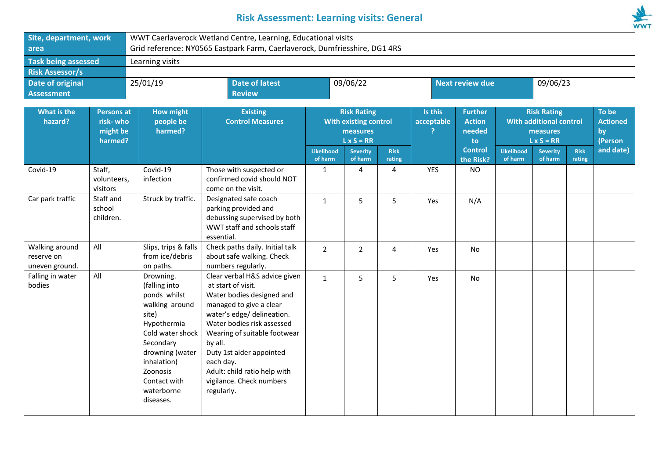## **Risk Assessment: Learning visits: General**



| Site, department, work                                                         |                                   | WWT Caerlaverock Wetland Centre, Learning, Educational visits                                                                                                                                                  |                                                                                                                                                                                                                                                                                                                                       |                                                                              |                            |                        |                       |                                                 |                                                                                       |                            |                       |                                           |
|--------------------------------------------------------------------------------|-----------------------------------|----------------------------------------------------------------------------------------------------------------------------------------------------------------------------------------------------------------|---------------------------------------------------------------------------------------------------------------------------------------------------------------------------------------------------------------------------------------------------------------------------------------------------------------------------------------|------------------------------------------------------------------------------|----------------------------|------------------------|-----------------------|-------------------------------------------------|---------------------------------------------------------------------------------------|----------------------------|-----------------------|-------------------------------------------|
| area                                                                           |                                   | Grid reference: NY0565 Eastpark Farm, Caerlaverock, Dumfriesshire, DG1 4RS                                                                                                                                     |                                                                                                                                                                                                                                                                                                                                       |                                                                              |                            |                        |                       |                                                 |                                                                                       |                            |                       |                                           |
| <b>Task being assessed</b>                                                     |                                   | Learning visits                                                                                                                                                                                                |                                                                                                                                                                                                                                                                                                                                       |                                                                              |                            |                        |                       |                                                 |                                                                                       |                            |                       |                                           |
| <b>Risk Assessor/s</b>                                                         |                                   |                                                                                                                                                                                                                |                                                                                                                                                                                                                                                                                                                                       |                                                                              |                            |                        |                       |                                                 |                                                                                       |                            |                       |                                           |
| <b>Date of original</b>                                                        |                                   | 25/01/19<br><b>Date of latest</b>                                                                                                                                                                              |                                                                                                                                                                                                                                                                                                                                       | 09/06/22                                                                     |                            | <b>Next review due</b> |                       | 09/06/23                                        |                                                                                       |                            |                       |                                           |
| <b>Assessment</b>                                                              |                                   |                                                                                                                                                                                                                | <b>Review</b>                                                                                                                                                                                                                                                                                                                         |                                                                              |                            |                        |                       |                                                 |                                                                                       |                            |                       |                                           |
| What is the<br><b>Persons at</b><br>hazard?<br>risk-who<br>might be<br>harmed? |                                   | <b>How might</b><br>people be<br>harmed?                                                                                                                                                                       | <b>Existing</b><br><b>Control Measures</b>                                                                                                                                                                                                                                                                                            | <b>Risk Rating</b><br>With existing control<br>measures<br>$L \times S = RR$ |                            |                        | Is this<br>acceptable | <b>Further</b><br><b>Action</b><br>needed<br>to | <b>Risk Rating</b><br><b>With additional control</b><br>measures<br>$L \times S = RR$ |                            |                       | To be<br><b>Actioned</b><br>by<br>(Person |
|                                                                                |                                   |                                                                                                                                                                                                                |                                                                                                                                                                                                                                                                                                                                       | <b>Likelihood</b><br>of harm                                                 | <b>Severity</b><br>of harm | <b>Risk</b><br>rating  |                       | <b>Control</b><br>the Risk?                     | <b>Likelihood</b><br>of harm                                                          | <b>Severity</b><br>of harm | <b>Risk</b><br>rating | and date)                                 |
| Covid-19                                                                       | Staff,<br>volunteers,<br>visitors |                                                                                                                                                                                                                | Those with suspected or<br>confirmed covid should NOT<br>come on the visit.                                                                                                                                                                                                                                                           | $\mathbf{1}$                                                                 | 4                          | 4                      | <b>YES</b>            | <b>NO</b>                                       |                                                                                       |                            |                       |                                           |
| Car park traffic                                                               | Staff and<br>school<br>children.  | Struck by traffic.                                                                                                                                                                                             | Designated safe coach<br>parking provided and<br>debussing supervised by both<br>WWT staff and schools staff<br>essential.                                                                                                                                                                                                            | $\mathbf{1}$                                                                 | 5                          | 5                      | Yes                   | N/A                                             |                                                                                       |                            |                       |                                           |
| Walking around<br>reserve on<br>uneven ground.                                 | All                               | Slips, trips & falls<br>from ice/debris<br>on paths.                                                                                                                                                           | Check paths daily. Initial talk<br>about safe walking. Check<br>numbers regularly.                                                                                                                                                                                                                                                    | $\overline{2}$                                                               | $\overline{2}$             | 4                      | Yes                   | No                                              |                                                                                       |                            |                       |                                           |
| Falling in water<br>bodies                                                     | All                               | Drowning.<br>(falling into<br>ponds whilst<br>walking around<br>site)<br>Hypothermia<br>Cold water shock<br>Secondary<br>drowning (water<br>inhalation)<br>Zoonosis<br>Contact with<br>waterborne<br>diseases. | Clear verbal H&S advice given<br>at start of visit.<br>Water bodies designed and<br>managed to give a clear<br>water's edge/ delineation.<br>Water bodies risk assessed<br>Wearing of suitable footwear<br>by all.<br>Duty 1st aider appointed<br>each day.<br>Adult: child ratio help with<br>vigilance. Check numbers<br>regularly. | $\mathbf{1}$                                                                 | 5                          | 5                      | Yes                   | No                                              |                                                                                       |                            |                       |                                           |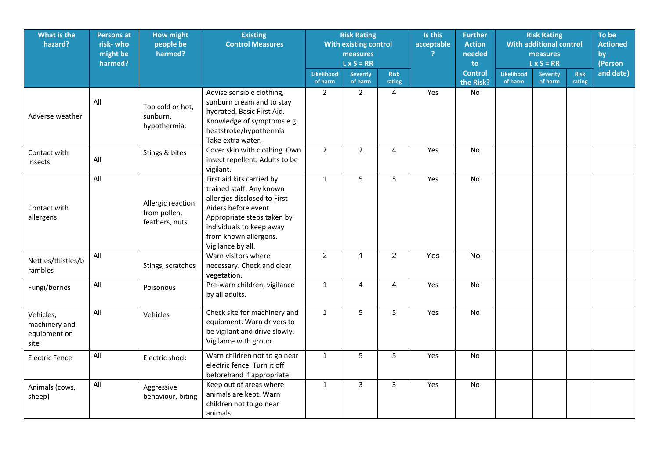| What is the<br>hazard?                             | <b>Persons at</b><br>risk-who<br>might be<br>harmed? | <b>How might</b><br>people be<br>harmed?             | <b>Existing</b><br><b>Control Measures</b>                                                                                                                                                                            | <b>Risk Rating</b><br><b>With existing control</b><br>measures<br>$L \times S = RR$ |                            |                       | Is this<br>acceptable | <b>Further</b><br><b>Action</b><br>needed<br>to. | <b>Risk Rating</b><br><b>With additional control</b><br>measures<br>$L \times S = RR$ |                            |                       | To be<br><b>Actioned</b><br>by<br>(Person |
|----------------------------------------------------|------------------------------------------------------|------------------------------------------------------|-----------------------------------------------------------------------------------------------------------------------------------------------------------------------------------------------------------------------|-------------------------------------------------------------------------------------|----------------------------|-----------------------|-----------------------|--------------------------------------------------|---------------------------------------------------------------------------------------|----------------------------|-----------------------|-------------------------------------------|
|                                                    |                                                      |                                                      |                                                                                                                                                                                                                       | <b>Likelihood</b><br>of harm                                                        | <b>Severity</b><br>of harm | <b>Risk</b><br>rating |                       | <b>Control</b><br>the Risk?                      | Likelihood<br>of harm                                                                 | <b>Severity</b><br>of harm | <b>Risk</b><br>rating | and date)                                 |
| Adverse weather                                    | All                                                  | Too cold or hot,<br>sunburn,<br>hypothermia.         | Advise sensible clothing,<br>sunburn cream and to stay<br>hydrated. Basic First Aid.<br>Knowledge of symptoms e.g.<br>heatstroke/hypothermia<br>Take extra water.                                                     | $\overline{2}$                                                                      | $\overline{2}$             | $\overline{4}$        | Yes                   | No                                               |                                                                                       |                            |                       |                                           |
| Contact with<br>insects                            | All                                                  | Stings & bites                                       | Cover skin with clothing. Own<br>insect repellent. Adults to be<br>vigilant.                                                                                                                                          | $\overline{2}$                                                                      | $\overline{2}$             | 4                     | Yes                   | No                                               |                                                                                       |                            |                       |                                           |
| Contact with<br>allergens                          | All                                                  | Allergic reaction<br>from pollen,<br>feathers, nuts. | First aid kits carried by<br>trained staff. Any known<br>allergies disclosed to First<br>Aiders before event.<br>Appropriate steps taken by<br>individuals to keep away<br>from known allergens.<br>Vigilance by all. | $\mathbf{1}$                                                                        | 5                          | 5                     | Yes                   | No                                               |                                                                                       |                            |                       |                                           |
| Nettles/thistles/b<br>rambles                      | All                                                  | Stings, scratches                                    | Warn visitors where<br>necessary. Check and clear<br>vegetation.                                                                                                                                                      | $\overline{2}$                                                                      | $\mathbf{1}$               | $\overline{2}$        | Yes                   | No                                               |                                                                                       |                            |                       |                                           |
| Fungi/berries                                      | All                                                  | Poisonous                                            | Pre-warn children, vigilance<br>by all adults.                                                                                                                                                                        | $\mathbf{1}$                                                                        | $\overline{4}$             | 4                     | Yes                   | No                                               |                                                                                       |                            |                       |                                           |
| Vehicles,<br>machinery and<br>equipment on<br>site | All                                                  | Vehicles                                             | Check site for machinery and<br>equipment. Warn drivers to<br>be vigilant and drive slowly.<br>Vigilance with group.                                                                                                  | $\mathbf{1}$                                                                        | $5\phantom{.}$             | 5                     | Yes                   | <b>No</b>                                        |                                                                                       |                            |                       |                                           |
| <b>Electric Fence</b>                              | All                                                  | Electric shock                                       | Warn children not to go near<br>electric fence. Turn it off<br>beforehand if appropriate.                                                                                                                             | $\mathbf{1}$                                                                        | 5                          | 5                     | Yes                   | <b>No</b>                                        |                                                                                       |                            |                       |                                           |
| Animals (cows,<br>sheep)                           | All                                                  | Aggressive<br>behaviour, biting                      | Keep out of areas where<br>animals are kept. Warn<br>children not to go near<br>animals.                                                                                                                              | $\mathbf{1}$                                                                        | 3                          | 3                     | Yes                   | No                                               |                                                                                       |                            |                       |                                           |